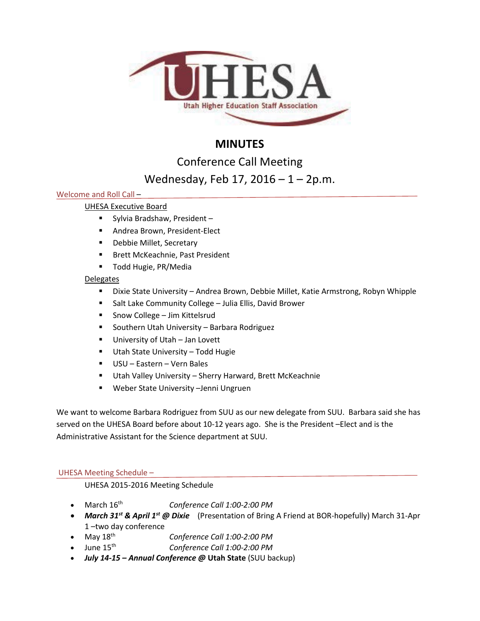

# **MINUTES**

Conference Call Meeting

# Wednesday, Feb 17, 2016 – 1 – 2p.m.

# Welcome and Roll Call –

# UHESA Executive Board

- Sylvia Bradshaw, President –
- **Andrea Brown, President-Elect**
- **-** Debbie Millet, Secretary
- **Brett McKeachnie, Past President**
- **Todd Hugie, PR/Media**

# **Delegates**

- Dixie State University Andrea Brown, Debbie Millet, Katie Armstrong, Robyn Whipple
- Salt Lake Community College Julia Ellis, David Brower
- Snow College Jim Kittelsrud
- **Southern Utah University Barbara Rodriguez**
- **University of Utah Jan Lovett**
- **Utah State University Todd Hugie**
- USU Eastern Vern Bales
- Utah Valley University Sherry Harward, Brett McKeachnie
- Weber State University –Jenni Ungruen

We want to welcome Barbara Rodriguez from SUU as our new delegate from SUU. Barbara said she has served on the UHESA Board before about 10-12 years ago. She is the President –Elect and is the Administrative Assistant for the Science department at SUU.

## UHESA Meeting Schedule –

UHESA 2015-2016 Meeting Schedule

- March 16th *Conference Call 1:00-2:00 PM*
- *March 31st & April 1st @ Dixie* (Presentation of Bring A Friend at BOR-hopefully) March 31-Apr 1 –two day conference
- May 18th *Conference Call 1:00-2:00 PM*
- June 15th *Conference Call 1:00-2:00 PM*
- *July 14-15 – Annual Conference @* **Utah State** (SUU backup)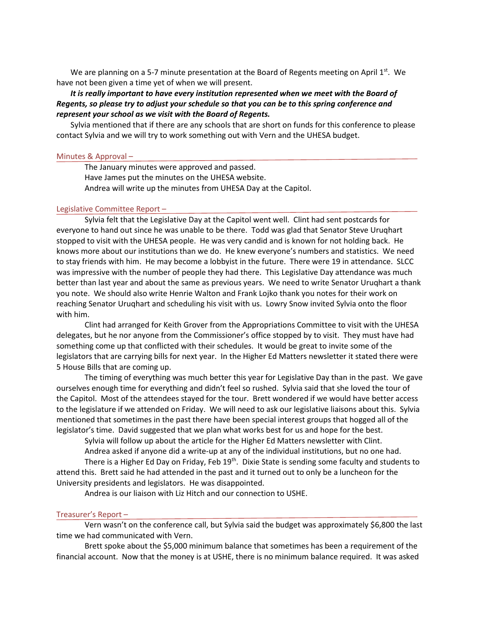We are planning on a 5-7 minute presentation at the Board of Regents meeting on April  $1^{st}$ . We have not been given a time yet of when we will present.

## *It is really important to have every institution represented when we meet with the Board of Regents, so please try to adjust your schedule so that you can be to this spring conference and represent your school as we visit with the Board of Regents.*

Sylvia mentioned that if there are any schools that are short on funds for this conference to please contact Sylvia and we will try to work something out with Vern and the UHESA budget.

#### Minutes & Approval –

The January minutes were approved and passed. Have James put the minutes on the UHESA website. Andrea will write up the minutes from UHESA Day at the Capitol.

### Legislative Committee Report –

Sylvia felt that the Legislative Day at the Capitol went well. Clint had sent postcards for everyone to hand out since he was unable to be there. Todd was glad that Senator Steve Uruqhart stopped to visit with the UHESA people. He was very candid and is known for not holding back. He knows more about our institutions than we do. He knew everyone's numbers and statistics. We need to stay friends with him. He may become a lobbyist in the future. There were 19 in attendance. SLCC was impressive with the number of people they had there. This Legislative Day attendance was much better than last year and about the same as previous years. We need to write Senator Uruqhart a thank you note. We should also write Henrie Walton and Frank Lojko thank you notes for their work on reaching Senator Uruqhart and scheduling his visit with us. Lowry Snow invited Sylvia onto the floor with him.

Clint had arranged for Keith Grover from the Appropriations Committee to visit with the UHESA delegates, but he nor anyone from the Commissioner's office stopped by to visit. They must have had something come up that conflicted with their schedules. It would be great to invite some of the legislators that are carrying bills for next year. In the Higher Ed Matters newsletter it stated there were 5 House Bills that are coming up.

The timing of everything was much better this year for Legislative Day than in the past. We gave ourselves enough time for everything and didn't feel so rushed. Sylvia said that she loved the tour of the Capitol. Most of the attendees stayed for the tour. Brett wondered if we would have better access to the legislature if we attended on Friday. We will need to ask our legislative liaisons about this. Sylvia mentioned that sometimes in the past there have been special interest groups that hogged all of the legislator's time. David suggested that we plan what works best for us and hope for the best.

Sylvia will follow up about the article for the Higher Ed Matters newsletter with Clint.

Andrea asked if anyone did a write-up at any of the individual institutions, but no one had. There is a Higher Ed Day on Friday, Feb 19<sup>th</sup>. Dixie State is sending some faculty and students to attend this. Brett said he had attended in the past and it turned out to only be a luncheon for the University presidents and legislators. He was disappointed.

Andrea is our liaison with Liz Hitch and our connection to USHE.

## Treasurer's Report –

Vern wasn't on the conference call, but Sylvia said the budget was approximately \$6,800 the last time we had communicated with Vern.

Brett spoke about the \$5,000 minimum balance that sometimes has been a requirement of the financial account. Now that the money is at USHE, there is no minimum balance required. It was asked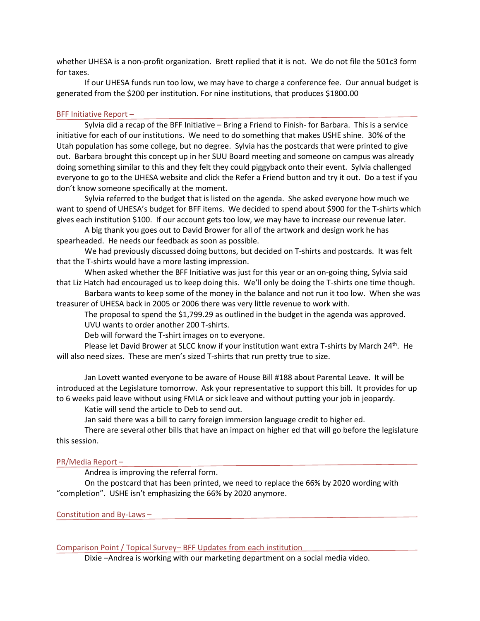whether UHESA is a non-profit organization. Brett replied that it is not. We do not file the 501c3 form for taxes.

If our UHESA funds run too low, we may have to charge a conference fee. Our annual budget is generated from the \$200 per institution. For nine institutions, that produces \$1800.00

### BFF Initiative Report –

Sylvia did a recap of the BFF Initiative – Bring a Friend to Finish- for Barbara. This is a service initiative for each of our institutions. We need to do something that makes USHE shine. 30% of the Utah population has some college, but no degree. Sylvia has the postcards that were printed to give out. Barbara brought this concept up in her SUU Board meeting and someone on campus was already doing something similar to this and they felt they could piggyback onto their event. Sylvia challenged everyone to go to the UHESA website and click the Refer a Friend button and try it out. Do a test if you don't know someone specifically at the moment.

Sylvia referred to the budget that is listed on the agenda. She asked everyone how much we want to spend of UHESA's budget for BFF items. We decided to spend about \$900 for the T-shirts which gives each institution \$100. If our account gets too low, we may have to increase our revenue later.

A big thank you goes out to David Brower for all of the artwork and design work he has spearheaded. He needs our feedback as soon as possible.

We had previously discussed doing buttons, but decided on T-shirts and postcards. It was felt that the T-shirts would have a more lasting impression.

When asked whether the BFF Initiative was just for this year or an on-going thing, Sylvia said that Liz Hatch had encouraged us to keep doing this. We'll only be doing the T-shirts one time though.

Barbara wants to keep some of the money in the balance and not run it too low. When she was treasurer of UHESA back in 2005 or 2006 there was very little revenue to work with.

The proposal to spend the \$1,799.29 as outlined in the budget in the agenda was approved.

UVU wants to order another 200 T-shirts.

Deb will forward the T-shirt images on to everyone.

Please let David Brower at SLCC know if your institution want extra T-shirts by March 24<sup>th</sup>. He will also need sizes. These are men's sized T-shirts that run pretty true to size.

Jan Lovett wanted everyone to be aware of House Bill #188 about Parental Leave. It will be introduced at the Legislature tomorrow. Ask your representative to support this bill. It provides for up to 6 weeks paid leave without using FMLA or sick leave and without putting your job in jeopardy.

Katie will send the article to Deb to send out.

Jan said there was a bill to carry foreign immersion language credit to higher ed.

There are several other bills that have an impact on higher ed that will go before the legislature this session.

## PR/Media Report –

Andrea is improving the referral form.

On the postcard that has been printed, we need to replace the 66% by 2020 wording with "completion". USHE isn't emphasizing the 66% by 2020 anymore.

Constitution and By-Laws –

Comparison Point / Topical Survey– BFF Updates from each institution

Dixie –Andrea is working with our marketing department on a social media video.